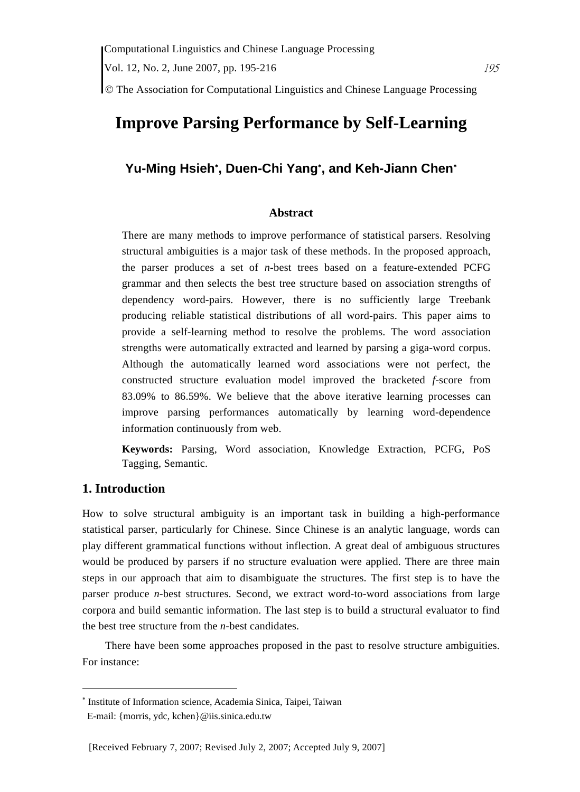© The Association for Computational Linguistics and Chinese Language Processing

# **Improve Parsing Performance by Self-Learning**

# **Yu-Ming Hsieh**<sup>∗</sup> **, Duen-Chi Yang**<sup>∗</sup> **, and Keh-Jiann Chen**<sup>∗</sup>

#### **Abstract**

There are many methods to improve performance of statistical parsers. Resolving structural ambiguities is a major task of these methods. In the proposed approach, the parser produces a set of *n*-best trees based on a feature-extended PCFG grammar and then selects the best tree structure based on association strengths of dependency word-pairs. However, there is no sufficiently large Treebank producing reliable statistical distributions of all word-pairs. This paper aims to provide a self-learning method to resolve the problems. The word association strengths were automatically extracted and learned by parsing a giga-word corpus. Although the automatically learned word associations were not perfect, the constructed structure evaluation model improved the bracketed *f*-score from 83.09% to 86.59%. We believe that the above iterative learning processes can improve parsing performances automatically by learning word-dependence information continuously from web.

**Keywords:** Parsing, Word association, Knowledge Extraction, PCFG, PoS Tagging, Semantic.

### **1. Introduction**

 $\overline{a}$ 

How to solve structural ambiguity is an important task in building a high-performance statistical parser, particularly for Chinese. Since Chinese is an analytic language, words can play different grammatical functions without inflection. A great deal of ambiguous structures would be produced by parsers if no structure evaluation were applied. There are three main steps in our approach that aim to disambiguate the structures. The first step is to have the parser produce *n*-best structures. Second, we extract word-to-word associations from large corpora and build semantic information. The last step is to build a structural evaluator to find the best tree structure from the *n*-best candidates.

There have been some approaches proposed in the past to resolve structure ambiguities. For instance:

<sup>∗</sup> Institute of Information science, Academia Sinica, Taipei, Taiwan

E-mail: {morris, ydc, kchen}@iis.sinica.edu.tw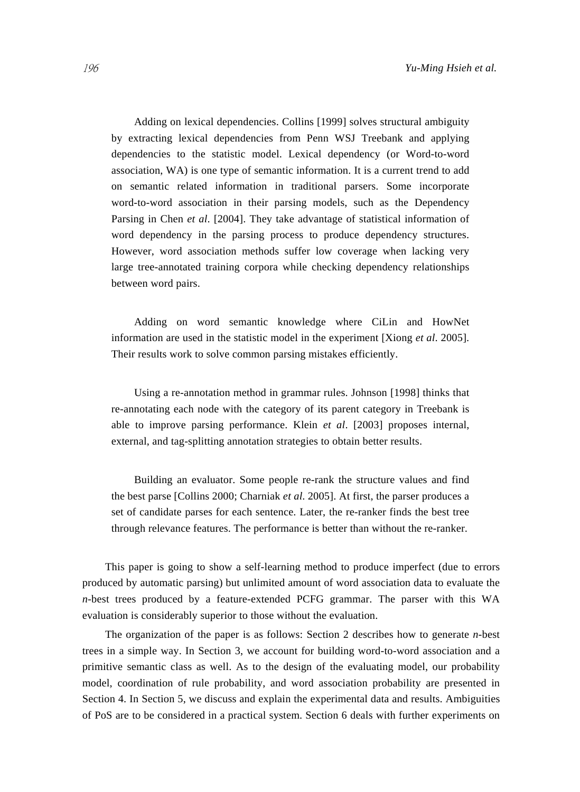Adding on lexical dependencies. Collins [1999] solves structural ambiguity by extracting lexical dependencies from Penn WSJ Treebank and applying dependencies to the statistic model. Lexical dependency (or Word-to-word association, WA) is one type of semantic information. It is a current trend to add on semantic related information in traditional parsers. Some incorporate word-to-word association in their parsing models, such as the Dependency Parsing in Chen *et al*. [2004]. They take advantage of statistical information of word dependency in the parsing process to produce dependency structures. However, word association methods suffer low coverage when lacking very large tree-annotated training corpora while checking dependency relationships between word pairs.

Adding on word semantic knowledge where CiLin and HowNet information are used in the statistic model in the experiment [Xiong *et al*. 2005]. Their results work to solve common parsing mistakes efficiently.

Using a re-annotation method in grammar rules. Johnson [1998] thinks that re-annotating each node with the category of its parent category in Treebank is able to improve parsing performance. Klein *et al*. [2003] proposes internal, external, and tag-splitting annotation strategies to obtain better results.

Building an evaluator. Some people re-rank the structure values and find the best parse [Collins 2000; Charniak *et al*. 2005]. At first, the parser produces a set of candidate parses for each sentence. Later, the re-ranker finds the best tree through relevance features. The performance is better than without the re-ranker.

This paper is going to show a self-learning method to produce imperfect (due to errors produced by automatic parsing) but unlimited amount of word association data to evaluate the *n-*best trees produced by a feature-extended PCFG grammar. The parser with this WA evaluation is considerably superior to those without the evaluation.

The organization of the paper is as follows: Section 2 describes how to generate *n-*best trees in a simple way. In Section 3, we account for building word-to-word association and a primitive semantic class as well. As to the design of the evaluating model, our probability model, coordination of rule probability, and word association probability are presented in Section 4. In Section 5, we discuss and explain the experimental data and results. Ambiguities of PoS are to be considered in a practical system. Section 6 deals with further experiments on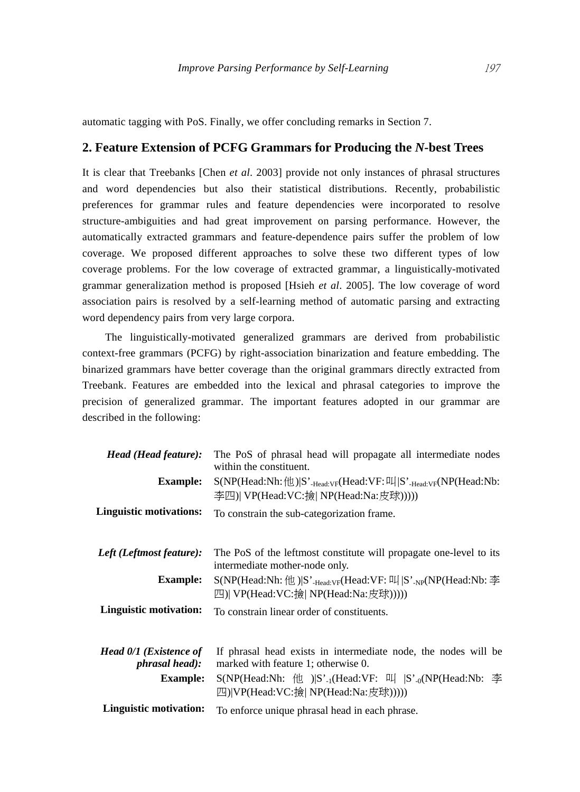automatic tagging with PoS. Finally, we offer concluding remarks in Section 7.

## **2. Feature Extension of PCFG Grammars for Producing the** *N***-best Trees**

It is clear that Treebanks [Chen *et al*. 2003] provide not only instances of phrasal structures and word dependencies but also their statistical distributions. Recently, probabilistic preferences for grammar rules and feature dependencies were incorporated to resolve structure-ambiguities and had great improvement on parsing performance. However, the automatically extracted grammars and feature-dependence pairs suffer the problem of low coverage. We proposed different approaches to solve these two different types of low coverage problems. For the low coverage of extracted grammar, a linguistically-motivated grammar generalization method is proposed [Hsieh *et al*. 2005]. The low coverage of word association pairs is resolved by a self-learning method of automatic parsing and extracting word dependency pairs from very large corpora.

The linguistically-motivated generalized grammars are derived from probabilistic context-free grammars (PCFG) by right-association binarization and feature embedding. The binarized grammars have better coverage than the original grammars directly extracted from Treebank. Features are embedded into the lexical and phrasal categories to improve the precision of generalized grammar. The important features adopted in our grammar are described in the following:

| Head (Head feature):                                   | The PoS of phrasal head will propagate all intermediate nodes<br>within the constituent.                                                          |  |  |  |
|--------------------------------------------------------|---------------------------------------------------------------------------------------------------------------------------------------------------|--|--|--|
| <b>Example:</b>                                        | $S(NP(Head:Nh: \#E))S'$ <sub>-Head:VF</sub> (Head:VF: $\frac{1}{N}$  S' <sub>-Head:VF</sub> (NP(Head:Nb:<br>李四)  VP(Head:VC:撿  NP(Head:Na:皮球))))) |  |  |  |
| <b>Linguistic motivations:</b>                         | To constrain the sub-categorization frame.                                                                                                        |  |  |  |
| Left (Leftmost feature):                               | The PoS of the leftmost constitute will propagate one-level to its<br>intermediate mother-node only.                                              |  |  |  |
| <b>Example:</b>                                        | $S(NP(Head:Nh: \#E))S'$ -Head:VF(Head:VF: $\frac{11}{12}$   $S'$ -NP(Head:Nb: $\frac{11}{22}$<br>四)  VP(Head:VC:撿  NP(Head:Na:皮球)))))             |  |  |  |
| Linguistic motivation:                                 | To constrain linear order of constituents.                                                                                                        |  |  |  |
| <b>Head 0/1 (Existence of</b><br><i>phrasal head):</i> | If phrasal head exists in intermediate node, the nodes will be<br>marked with feature 1; otherwise 0.                                             |  |  |  |
| <b>Example:</b>                                        | S(NP(Head:Nh: 他 ) S' <sub>-1</sub> (Head:VF: 叫  S' <sub>-0</sub> (NP(Head:Nb: 李<br>四) VP(Head:VC:撿  NP(Head:Na:皮球)))))                            |  |  |  |
| Linguistic motivation:                                 | To enforce unique phrasal head in each phrase.                                                                                                    |  |  |  |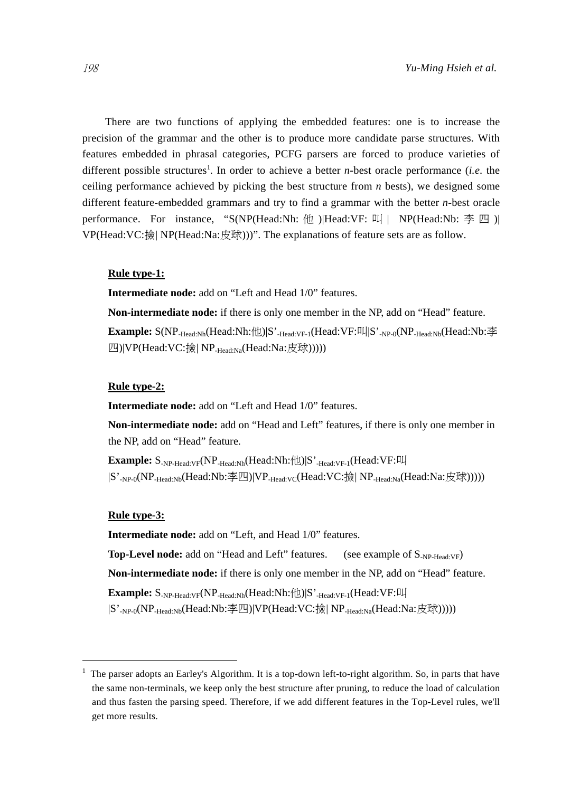There are two functions of applying the embedded features: one is to increase the precision of the grammar and the other is to produce more candidate parse structures. With features embedded in phrasal categories, PCFG parsers are forced to produce varieties of different possible structures<sup>1</sup>. In order to achieve a better *n*-best oracle performance (*i.e.* the ceiling performance achieved by picking the best structure from *n* bests), we designed some different feature-embedded grammars and try to find a grammar with the better *n-*best oracle performance. For instance, "S(NP(Head:Nh: 他 )|Head:VF: 叫 | NP(Head:Nb:  $\Phi$  四 )| VP(Head:VC:撿| NP(Head:Na:皮球)))". The explanations of feature sets are as follow.

#### **Rule type-1:**

**Intermediate node:** add on "Left and Head 1/0" features.

**Non-intermediate node:** if there is only one member in the NP, add on "Head" feature.

**Example:** S(NP-Head:Nh(Head:Nh:他)|S'-Head:VF-1(Head:VF:叫|S'-NP-0(NP-Head:Nb(Head:Nb:李 四)|VP(Head:VC:撿| NP<sub>-Head:Na</sub>(Head:Na:皮球)))))

#### **Rule type-2:**

**Intermediate node:** add on "Left and Head 1/0" features.

**Non-intermediate node:** add on "Head and Left" features, if there is only one member in the NP, add on "Head" feature.

**Example:**  $S_{NP\text{-Head:VF}}(NP_{\text{-Head:Nh}}(Head:Nh:\text{\#})|S'_{\text{-Head:VF-1}}(Head:VF:\text{\#})$  $|S'_{-NP\text{-}0}(NP_{\text{-Head}:Nb}(Head:Nb:\nsubseteq\text{[M]})|VP_{\text{-Head}:VC}(Head:VC:\nimplies[NP_{\text{-Head}:Na}(Head:Na:\notimes\text{[M]}))))|$ 

#### **Rule type-3:**

 $\overline{a}$ 

**Intermediate node:** add on "Left, and Head 1/0" features. **Top-Level node:** add on "Head and Left" features. (see example of  $S_{NP\text{-}Head:VF}$ ) **Non-intermediate node:** if there is only one member in the NP, add on "Head" feature. **Example:** S-NP-Head:VF(NP-Head:Nh(Head:Nh:他)|S'-Head:VF-1(Head:VF:叫 |S'-NP-0(NP-Head:Nb(Head:Nb:李四)|VP(Head:VC:撿| NP-Head:Na(Head:Na:皮球)))))

<sup>1</sup> The parser adopts an Earley's Algorithm. It is a top-down left-to-right algorithm. So, in parts that have the same non-terminals, we keep only the best structure after pruning, to reduce the load of calculation and thus fasten the parsing speed. Therefore, if we add different features in the Top-Level rules, we'll get more results.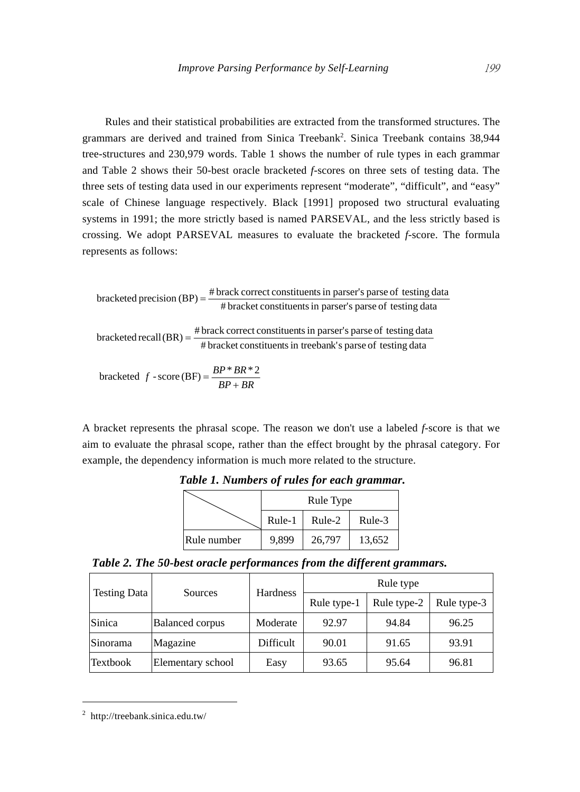Rules and their statistical probabilities are extracted from the transformed structures. The grammars are derived and trained from Sinica Treebank<sup>2</sup>. Sinica Treebank contains  $38,944$ tree-structures and 230,979 words. Table 1 shows the number of rule types in each grammar and Table 2 shows their 50-best oracle bracketed *f*-scores on three sets of testing data. The three sets of testing data used in our experiments represent "moderate", "difficult", and "easy" scale of Chinese language respectively. Black [1991] proposed two structural evaluating systems in 1991; the more strictly based is named PARSEVAL, and the less strictly based is crossing. We adopt PARSEVAL measures to evaluate the bracketed *f*-score. The formula represents as follows:

# bracket constituentsin parser's parse of testing data # brack correct constituentsin parser's parse of testing data bracketed precision (BP) <sup>=</sup> # bracket constituentsin treebank's parse of testing data # brack correct constituentsin parser's parse of testing data bracketed recall(BR) <sup>=</sup> *BP BR <sup>f</sup>* <sup>+</sup> <sup>=</sup> \* \* <sup>2</sup> bracketed -score (BF)

 $BP + BR$ 

A bracket represents the phrasal scope. The reason we don't use a labeled *f*-score is that we aim to evaluate the phrasal scope, rather than the effect brought by the phrasal category. For example, the dependency information is much more related to the structure.

|             | Rule Type |        |        |  |  |
|-------------|-----------|--------|--------|--|--|
|             | Rule-1    | Rule-2 | Rule-3 |  |  |
| Rule number | 9.899     | 26,797 | 13,652 |  |  |

*Table 1. Numbers of rules for each grammar.* 

| Table 2. The 50-best oracle performances from the different grammars. |
|-----------------------------------------------------------------------|
|-----------------------------------------------------------------------|

|              | Sources                | <b>Hardness</b> | Rule type   |             |             |  |
|--------------|------------------------|-----------------|-------------|-------------|-------------|--|
| Testing Data |                        |                 | Rule type-1 | Rule type-2 | Rule type-3 |  |
| Sinica       | <b>Balanced corpus</b> | Moderate        | 92.97       | 94.84       | 96.25       |  |
| Sinorama     | Magazine               | Difficult       | 90.01       | 91.65       | 93.91       |  |
| Textbook     | Elementary school      | Easy            | 93.65       | 95.64       | 96.81       |  |

<sup>2</sup> http://treebank.sinica.edu.tw/

 $\overline{a}$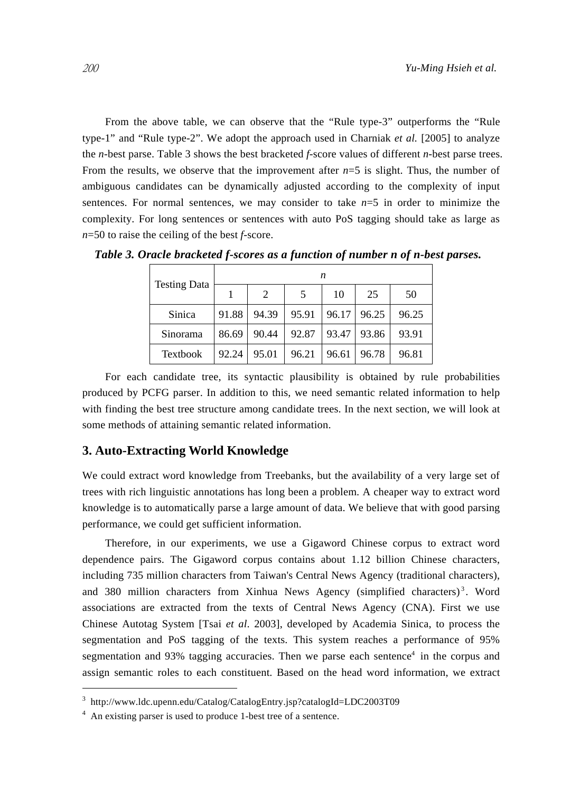From the above table, we can observe that the "Rule type-3" outperforms the "Rule type-1" and "Rule type-2". We adopt the approach used in Charniak *et al.* [2005] to analyze the *n-*best parse. Table 3 shows the best bracketed *f-*score values of different *n*-best parse trees. From the results, we observe that the improvement after  $n=5$  is slight. Thus, the number of ambiguous candidates can be dynamically adjusted according to the complexity of input sentences. For normal sentences, we may consider to take *n*=5 in order to minimize the complexity. For long sentences or sentences with auto PoS tagging should take as large as *n*=50 to raise the ceiling of the best *f*-score.

| <b>Testing Data</b> | n     |                |       |       |       |       |  |  |
|---------------------|-------|----------------|-------|-------|-------|-------|--|--|
|                     |       | $\mathfrak{D}$ | 5     | 10    | 25    | 50    |  |  |
| Sinica              | 91.88 | 94.39          | 95.91 | 96.17 | 96.25 | 96.25 |  |  |
| Sinorama            | 86.69 | 90.44          | 92.87 | 93.47 | 93.86 | 93.91 |  |  |
| Textbook            | 92.24 | 95.01          | 96.21 | 96.61 | 96.78 | 96.81 |  |  |

*Table 3. Oracle bracketed f-scores as a function of number n of n-best parses.* 

For each candidate tree, its syntactic plausibility is obtained by rule probabilities produced by PCFG parser. In addition to this, we need semantic related information to help with finding the best tree structure among candidate trees. In the next section, we will look at some methods of attaining semantic related information.

#### **3. Auto-Extracting World Knowledge**

We could extract word knowledge from Treebanks, but the availability of a very large set of trees with rich linguistic annotations has long been a problem. A cheaper way to extract word knowledge is to automatically parse a large amount of data. We believe that with good parsing performance, we could get sufficient information.

Therefore, in our experiments, we use a Gigaword Chinese corpus to extract word dependence pairs. The Gigaword corpus contains about 1.12 billion Chinese characters, including 735 million characters from Taiwan's Central News Agency (traditional characters), and 380 million characters from Xinhua News Agency (simplified characters)<sup>3</sup>. Word associations are extracted from the texts of Central News Agency (CNA). First we use Chinese Autotag System [Tsai *et al*. 2003], developed by Academia Sinica, to process the segmentation and PoS tagging of the texts. This system reaches a performance of 95% segmentation and 93% tagging accuracies. Then we parse each sentence<sup>4</sup> in the corpus and assign semantic roles to each constituent. Based on the head word information, we extract

 $\overline{a}$ 

<sup>3</sup> http://www.ldc.upenn.edu/Catalog/CatalogEntry.jsp?catalogId=LDC2003T09

<sup>&</sup>lt;sup>4</sup> An existing parser is used to produce 1-best tree of a sentence.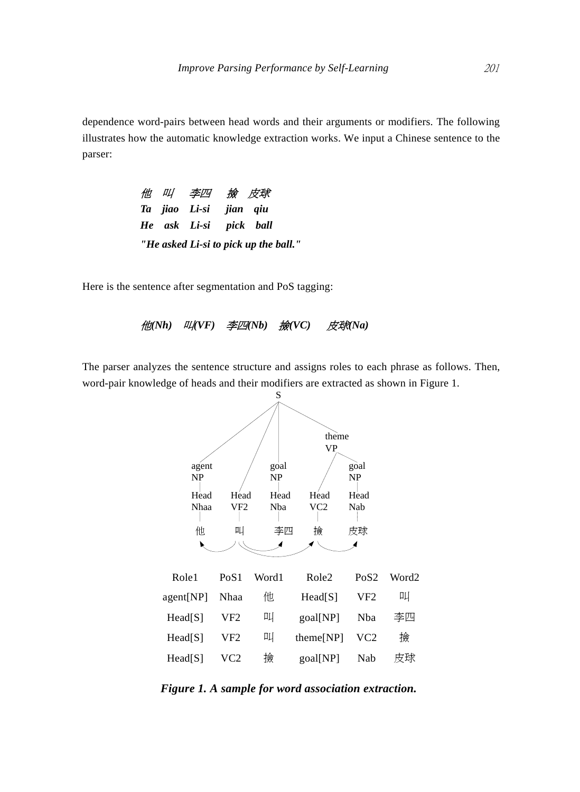dependence word-pairs between head words and their arguments or modifiers. The following illustrates how the automatic knowledge extraction works. We input a Chinese sentence to the parser:

|  | 他 叫 李四 撿 皮球                           |  |  |
|--|---------------------------------------|--|--|
|  | Ta jiao Li-si jian qiu                |  |  |
|  | He ask Li-si pick ball                |  |  |
|  | "He asked Li-si to pick up the ball." |  |  |

Here is the sentence after segmentation and PoS tagging:

他*(Nh)* 叫*(VF)* 李四*(Nb)* 撿*(VC)* 皮球*(Na)* 

The parser analyzes the sentence structure and assigns roles to each phrase as follows. Then, word-pair knowledge of heads and their modifiers are extracted as shown in Figure 1.



*Figure 1. A sample for word association extraction.*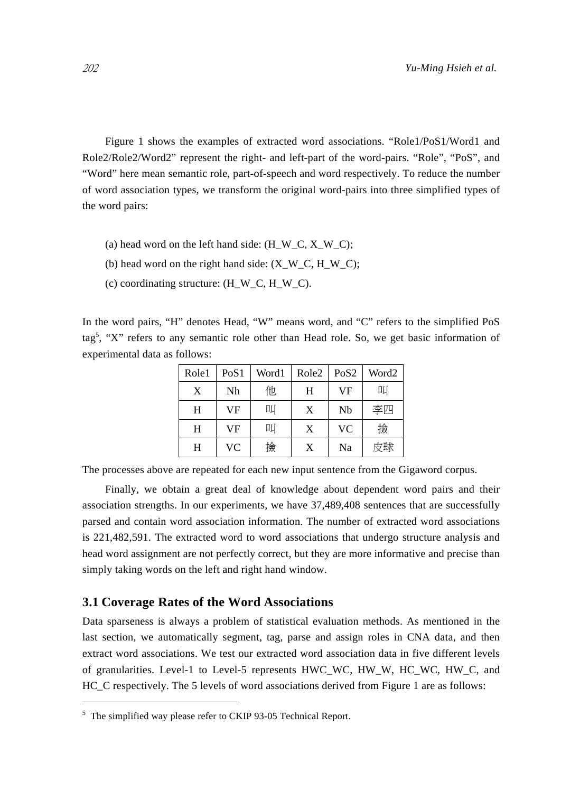Figure 1 shows the examples of extracted word associations. "Role1/PoS1/Word1 and Role2/Role2/Word2" represent the right- and left-part of the word-pairs. "Role", "PoS", and "Word" here mean semantic role, part-of-speech and word respectively. To reduce the number of word association types, we transform the original word-pairs into three simplified types of the word pairs:

- (a) head word on the left hand side: (H\_W\_C, X\_W\_C);
- (b) head word on the right hand side:  $(X_W_C, H_W_C);$
- (c) coordinating structure: (H\_W\_C, H\_W\_C).

In the word pairs, "H" denotes Head, "W" means word, and "C" refers to the simplified PoS tag<sup>5</sup>, "X" refers to any semantic role other than Head role. So, we get basic information of experimental data as follows:

| Role1 | PoS1      | Word1 | Role <sub>2</sub> | PoS <sub>2</sub> | Word <sub>2</sub> |
|-------|-----------|-------|-------------------|------------------|-------------------|
| X     | Nh        | 他     | Н                 | VF               | 吅                 |
| H     | <b>VF</b> | 叫     | X                 | Nb               | 李四                |
| H     | <b>VF</b> | 叫     | X                 | <b>VC</b>        | 撿                 |
| Η     | VC        | 撿     | X                 | Na               | 皮球                |

The processes above are repeated for each new input sentence from the Gigaword corpus.

Finally, we obtain a great deal of knowledge about dependent word pairs and their association strengths. In our experiments, we have 37,489,408 sentences that are successfully parsed and contain word association information. The number of extracted word associations is 221,482,591. The extracted word to word associations that undergo structure analysis and head word assignment are not perfectly correct, but they are more informative and precise than simply taking words on the left and right hand window.

#### **3.1 Coverage Rates of the Word Associations**

Data sparseness is always a problem of statistical evaluation methods. As mentioned in the last section, we automatically segment, tag, parse and assign roles in CNA data, and then extract word associations. We test our extracted word association data in five different levels of granularities. Level-1 to Level-5 represents HWC\_WC, HW\_W, HC\_WC, HW\_C, and HC C respectively. The 5 levels of word associations derived from Figure 1 are as follows:

 $\overline{a}$ 

<sup>&</sup>lt;sup>5</sup> The simplified way please refer to CKIP 93-05 Technical Report.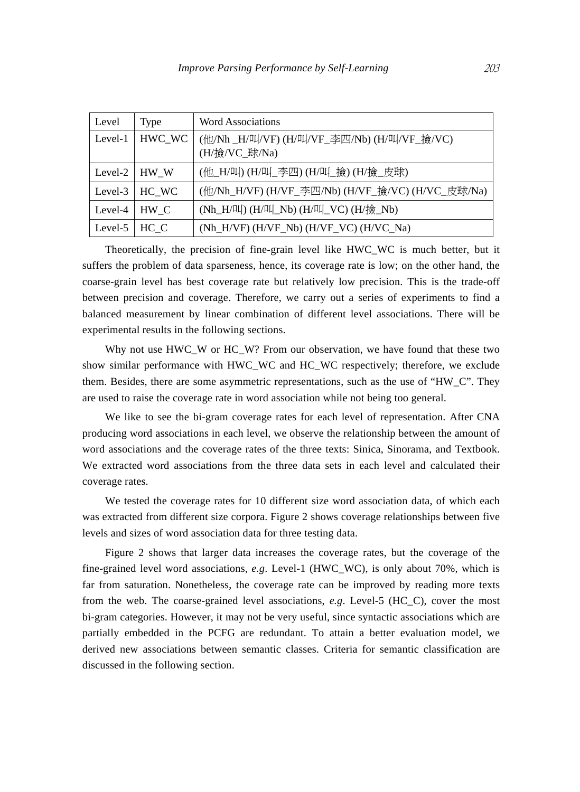| Level   | <b>Type</b> | <b>Word Associations</b>                                     |
|---------|-------------|--------------------------------------------------------------|
| Level-1 | HWC_WC      | (他/Nh _H/叫/VF) (H/叫/VF_李四/Nb) (H/叫/VF_撿/VC)<br>(H/撿/VC_球/Na) |
| Level-2 | HW W        | (他_H/叫) (H/叫_李四) (H/叫_撿) (H/撿_皮球)                            |
| Level-3 | $HC_WC$     | (他/Nh_H/VF) (H/VF_李四/Nb) (H/VF_撿/VC) (H/VC_皮球/Na)            |
| Level-4 | HW C        | (Nh_H/叫) (H/叫_Nb) (H/叫_VC) (H/撿_Nb)                          |
| Level-5 | HC C        | $(Nh_H/VF)$ $(H/VF_Nb)$ $(H/VF_VC)$ $(H/VC_Na)$              |

Theoretically, the precision of fine-grain level like HWC\_WC is much better, but it suffers the problem of data sparseness, hence, its coverage rate is low; on the other hand, the coarse-grain level has best coverage rate but relatively low precision. This is the trade-off between precision and coverage. Therefore, we carry out a series of experiments to find a balanced measurement by linear combination of different level associations. There will be experimental results in the following sections.

Why not use HWC\_W or HC\_W? From our observation, we have found that these two show similar performance with HWC\_WC and HC\_WC respectively; therefore, we exclude them. Besides, there are some asymmetric representations, such as the use of "HW\_C". They are used to raise the coverage rate in word association while not being too general.

We like to see the bi-gram coverage rates for each level of representation. After CNA producing word associations in each level, we observe the relationship between the amount of word associations and the coverage rates of the three texts: Sinica, Sinorama, and Textbook. We extracted word associations from the three data sets in each level and calculated their coverage rates.

We tested the coverage rates for 10 different size word association data, of which each was extracted from different size corpora. Figure 2 shows coverage relationships between five levels and sizes of word association data for three testing data.

Figure 2 shows that larger data increases the coverage rates, but the coverage of the fine-grained level word associations, *e.g*. Level-1 (HWC\_WC), is only about 70%, which is far from saturation. Nonetheless, the coverage rate can be improved by reading more texts from the web. The coarse-grained level associations, *e.g*. Level-5 (HC\_C), cover the most bi-gram categories. However, it may not be very useful, since syntactic associations which are partially embedded in the PCFG are redundant. To attain a better evaluation model, we derived new associations between semantic classes. Criteria for semantic classification are discussed in the following section.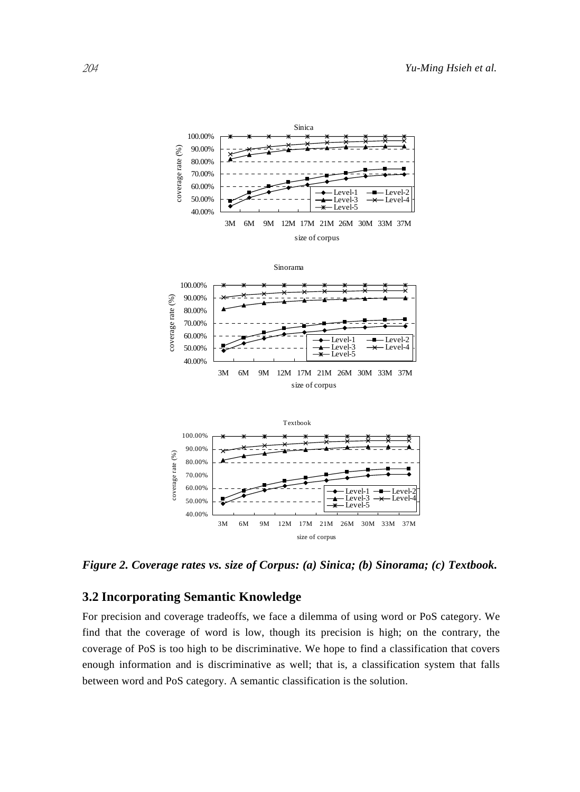

*Figure 2. Coverage rates vs. size of Corpus: (a) Sinica; (b) Sinorama; (c) Textbook.* 

# **3.2 Incorporating Semantic Knowledge**

For precision and coverage tradeoffs, we face a dilemma of using word or PoS category. We find that the coverage of word is low, though its precision is high; on the contrary, the coverage of PoS is too high to be discriminative. We hope to find a classification that covers enough information and is discriminative as well; that is, a classification system that falls between word and PoS category. A semantic classification is the solution.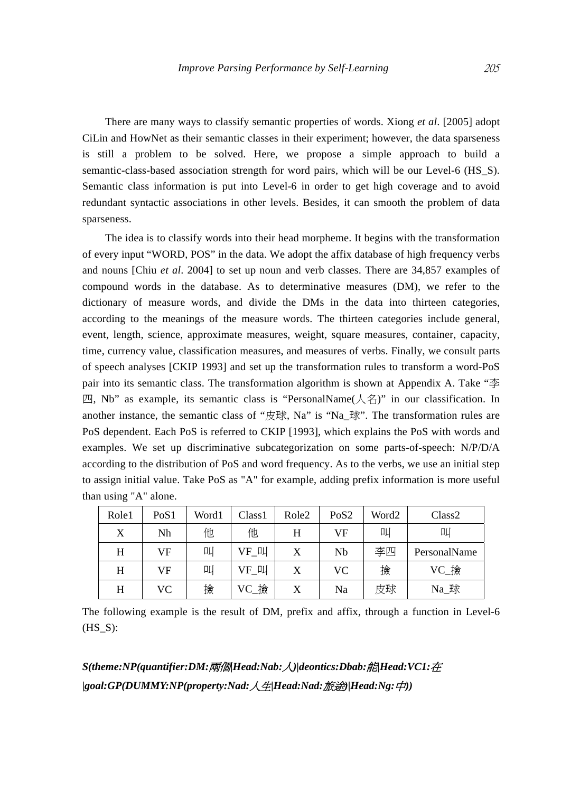There are many ways to classify semantic properties of words. Xiong *et al*. [2005] adopt CiLin and HowNet as their semantic classes in their experiment; however, the data sparseness is still a problem to be solved. Here, we propose a simple approach to build a semantic-class-based association strength for word pairs, which will be our Level-6 (HS\_S). Semantic class information is put into Level-6 in order to get high coverage and to avoid redundant syntactic associations in other levels. Besides, it can smooth the problem of data sparseness.

The idea is to classify words into their head morpheme. It begins with the transformation of every input "WORD, POS" in the data. We adopt the affix database of high frequency verbs and nouns [Chiu *et al*. 2004] to set up noun and verb classes. There are 34,857 examples of compound words in the database. As to determinative measures (DM), we refer to the dictionary of measure words, and divide the DMs in the data into thirteen categories, according to the meanings of the measure words. The thirteen categories include general, event, length, science, approximate measures, weight, square measures, container, capacity, time, currency value, classification measures, and measures of verbs. Finally, we consult parts of speech analyses [CKIP 1993] and set up the transformation rules to transform a word-PoS pair into its semantic class. The transformation algorithm is shown at Appendix A. Take "李  $\mathbb{Z}$ , Nb" as example, its semantic class is "PersonalName( $\angle$ 名)" in our classification. In another instance, the semantic class of "皮球, Na" is "Na 球". The transformation rules are PoS dependent. Each PoS is referred to CKIP [1993], which explains the PoS with words and examples. We set up discriminative subcategorization on some parts-of-speech: N/P/D/A according to the distribution of PoS and word frequency. As to the verbs, we use an initial step to assign initial value. Take PoS as "A" for example, adding prefix information is more useful than using "A" alone.

| Role1 | PoS1 | Word1 | Class1 | Role <sub>2</sub> | PoS <sub>2</sub> | Word2 | Class <sub>2</sub> |
|-------|------|-------|--------|-------------------|------------------|-------|--------------------|
| X     | Nh   | 他     | 他      | H                 | VF               | 叫     | 叫                  |
| Н     | VF   | 叫     | VF 叫   | X                 | Nb               | 李四    | PersonalName       |
| H     | VF   | 叫     | VF 叫   | X                 | VC.              | 撿     | VC_撿               |
| H     | VC   | 撿     | VC_撿   |                   | Na               | 皮球    | Na_球               |

The following example is the result of DM, prefix and affix, through a function in Level-6  $(HS_S):$ 

*S(theme:NP(quantifier:DM:*兩個*|Head:Nab:*人*)|deontics:Dbab:*能*|Head:VC1:*在 *|goal:GP(DUMMY:NP(property:Nad:*人生*|Head:Nad:*旅途*)|Head:Ng:*中*))*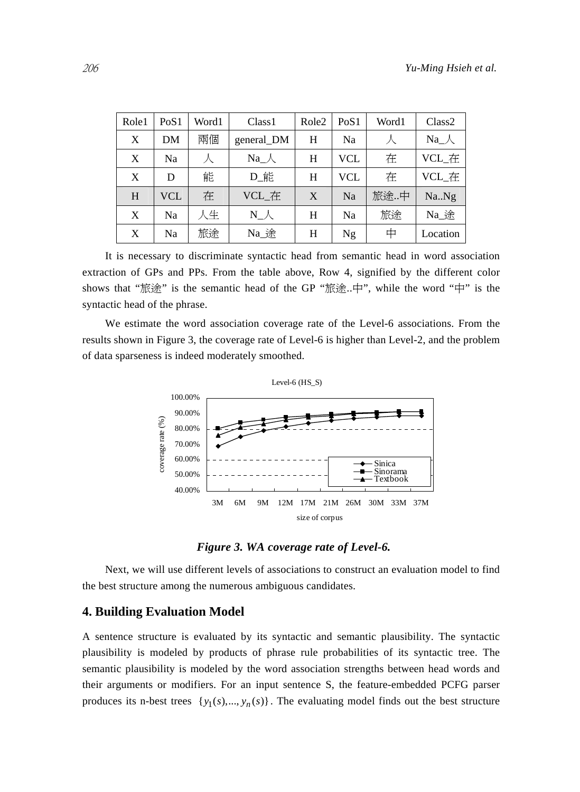| Role1 | PoS1 | Word1 | Class <sub>1</sub> | Role <sub>2</sub> | PoS1 | Word1 | Class2   |
|-------|------|-------|--------------------|-------------------|------|-------|----------|
| X     | DΜ   | 兩個    | general_DM         | H                 | Na   | 人     | $Na_{-}$ |
| X     | Na   | 人     | $Na_{-}$           | H                 | VCL  | 在     | VCL 在    |
| X     | D    | 能     | D_能                | H                 | VCL  | 在     | VCL 在    |
| H     | VCL  | 在     | VCL_在              | X                 | Na   | 旅途中   | NaNg     |
| X     | Na   | 人生    | $N_{-}$            | H                 | Na   | 旅途    | Na 途     |
| X     | Na   | 旅途    | Na 途               | Н                 | Ng   | 中     | Location |

It is necessary to discriminate syntactic head from semantic head in word association extraction of GPs and PPs. From the table above, Row 4, signified by the different color shows that "旅途" is the semantic head of the GP "旅途..中", while the word "中" is the syntactic head of the phrase.

We estimate the word association coverage rate of the Level-6 associations. From the results shown in Figure 3, the coverage rate of Level-6 is higher than Level-2, and the problem of data sparseness is indeed moderately smoothed.



*Figure 3. WA coverage rate of Level-6.* 

Next, we will use different levels of associations to construct an evaluation model to find the best structure among the numerous ambiguous candidates.

## **4. Building Evaluation Model**

A sentence structure is evaluated by its syntactic and semantic plausibility. The syntactic plausibility is modeled by products of phrase rule probabilities of its syntactic tree. The semantic plausibility is modeled by the word association strengths between head words and their arguments or modifiers. For an input sentence S, the feature-embedded PCFG parser produces its n-best trees  $\{y_1(s),..., y_n(s)\}\$ . The evaluating model finds out the best structure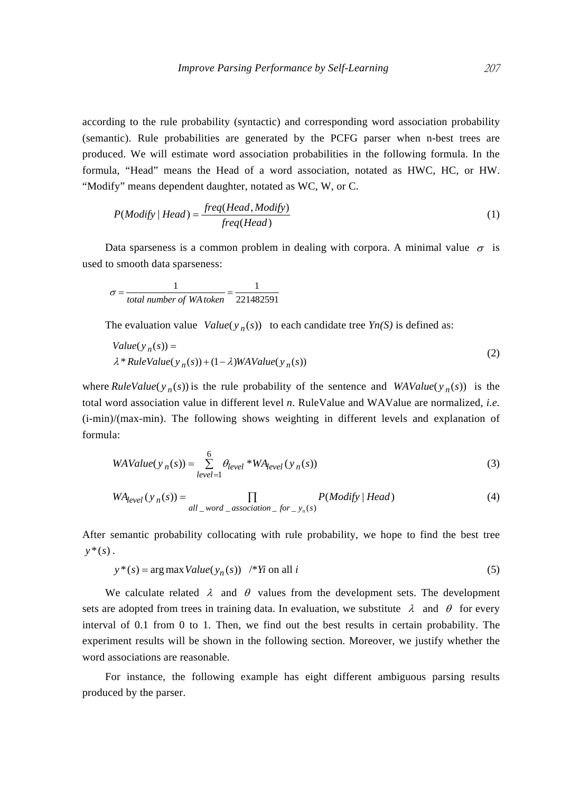according to the rule probability (syntactic) and corresponding word association probability (semantic). Rule probabilities are generated by the PCFG parser when n-best trees are produced. We will estimate word association probabilities in the following formula. In the formula, "Head" means the Head of a word association, notated as HWC, HC, or HW. "Modify" means dependent daughter, notated as WC, W, or C.

$$
P(Modify | Head) = \frac{freq(Head, Modify)}{freq(Head)}
$$
 (1)

Data sparseness is a common problem in dealing with corpora. A minimal value  $\sigma$  is used to smooth data sparseness:

$$
\sigma = \frac{1}{total\ number\ of\ WA\ token} = \frac{1}{221482591}
$$

The evaluation value  $Value(y_n(s))$  to each candidate tree  $Y_n(S)$  is defined as:

Value(y<sub>n</sub>(s)) =  
\n
$$
\lambda^* RuleValue(y_n(s)) + (1 - \lambda) WAValue(y_n(s))
$$
\n(2)

where  $RuleValue(y_n(s))$  is the rule probability of the sentence and  $WAValue(y_n(s))$  is the total word association value in different level *n*. RuleValue and WAValue are normalized, *i.e.* (i-min)/(max-min). The following shows weighting in different levels and explanation of formula:

$$
WAValue(y_n(s)) = \sum_{level=1}^{6} \theta_{level} * WA_{level}(y_n(s))
$$
\n(3)

$$
WA_{level}(y_n(s)) = \prod_{all\_word\_association\_for\_y_n(s)} P(Modify \mid Head)
$$
 (4)

After semantic probability collocating with rule probability, we hope to find the best tree  $y^*(s)$ .

$$
y^*(s) = \arg \max Value(y_n(s)) \quad \text{#Yi on all } i \tag{5}
$$

We calculate related  $\lambda$  and  $\theta$  values from the development sets. The development sets are adopted from trees in training data. In evaluation, we substitute  $\lambda$  and  $\theta$  for every interval of 0.1 from 0 to 1. Then, we find out the best results in certain probability. The experiment results will be shown in the following section. Moreover, we justify whether the word associations are reasonable.

For instance, the following example has eight different ambiguous parsing results produced by the parser.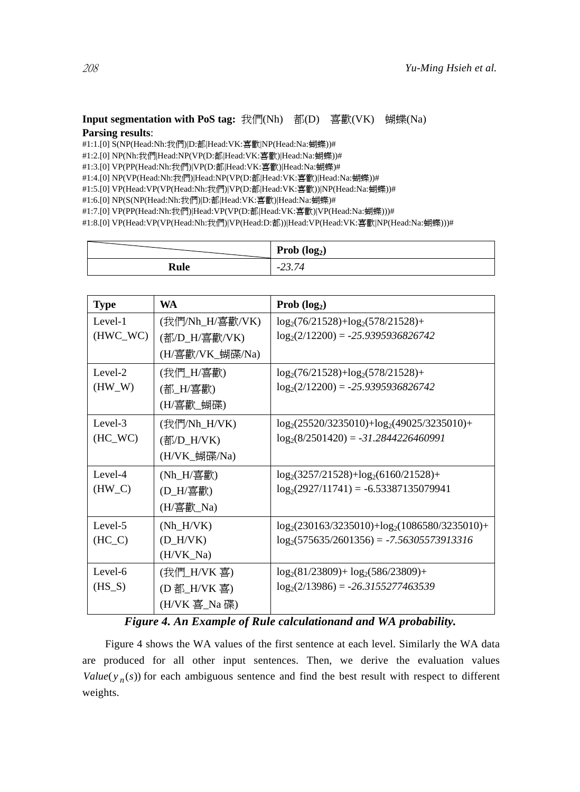## **Input segmentation with PoS tag:** 我們(Nh) 都(D) 喜歡(VK) 蝴蝶(Na) **Parsing results**:

#1:1.[0] S(NP(Head:Nh:我們)|D:都|Head:VK:喜歡|NP(Head:Na:蝴蝶))#

#1:2.[0] NP(Nh:我們|Head:NP(VP(D:都|Head:VK:喜歡)|Head:Na:蝴蝶))#

#1:3.[0] VP(PP(Head:Nh:我們)|VP(D:都|Head:VK:喜歡)|Head:Na:蝴蝶)#

#1:4.[0] NP(VP(Head:Nh:我們)|Head:NP(VP(D:都|Head:VK:喜歡)|Head:Na:蝴蝶))#

#1:5.[0] VP(Head:VP(VP(Head:Nh:我們)|VP(D:都|Head:VK:喜歡))|NP(Head:Na:蝴蝶))#

#1:6.[0] NP(S(NP(Head:Nh:我們)|D:都|Head:VK:喜歡)|Head:Na:蝴蝶)#

#1:7.[0] VP(PP(Head:Nh:我們)|Head:VP(VP(D:都|Head:VK:喜歡)|VP(Head:Na:蝴蝶)))#

#1:8.[0] VP(Head:VP(VP(Head:Nh:我們)|VP(Head:D:都))|Head:VP(Head:VK:喜歡|NP(Head:Ma:蝴蝶)))#

|      | Prob $(log_2)$                                               |
|------|--------------------------------------------------------------|
| Rule | $\overline{\phantom{0}}$<br>$ \overline{ }$<br>۳ ، ۱۰ ، ۱۰ ، |

| <b>Type</b> | WA              | Prob $(log_2)$                                     |
|-------------|-----------------|----------------------------------------------------|
| Level-1     | (我們/Nh_H/喜歡/VK) | $log_2(76/21528) + log_2(578/21528) +$             |
| (HWC_WC)    | (都/D_H/喜歡/VK)   | $log_2(2/12200) = -25.9395936826742$               |
|             | (H/喜歡/VK_蝴碟/Na) |                                                    |
| Level-2     | (我們_H/喜歡)       | $log_2(76/21528) + log_2(578/21528) +$             |
| $(HW_W)$    | (都_H/喜歡)        | $log_2(2/12200) = -25.9395936826742$               |
|             | (H/喜歡_蝴碟)       |                                                    |
| Level-3     | (我們/Nh_H/VK)    | $log_2(25520/3235010)+log_2(49025/3235010)+$       |
| $(HC_WC)$   | (都/D_H/VK)      | $log_2(8/2501420) = -31.2844226460991$             |
|             | (H/VK_蝴碟/Na)    |                                                    |
| Level-4     | (Nh_H/喜歡)       | $log_2(3257/21528)+log_2(6160/21528)+$             |
| $(HW_C)$    | (D_H/喜歡)        | $log_2(2927/11741) = -6.53387135079941$            |
|             | (H/喜歡_Na)       |                                                    |
| Level-5     | $(Nh_H/VK)$     | $log_2(230163/3235010) + log_2(1086580/3235010) +$ |
| $(HC_C)$    | $(D_H/VK)$      | $log_2(575635/2601356) = -7.56305573913316$        |
|             | (H/VK_Na)       |                                                    |
| Level-6     | (我們_H/VK 喜)     | $log_2(81/23809) + log_2(586/23809) +$             |
| $(HS_S)$    | (D 都_H/VK 喜)    | $log_2(2/13986) = -26.3155277463539$               |
|             | (H/VK 喜_Na 碟)   |                                                    |

# *Figure 4. An Example of Rule calculationand and WA probability.*

Figure 4 shows the WA values of the first sentence at each level. Similarly the WA data are produced for all other input sentences. Then, we derive the evaluation values  $Value(y_n(s))$  for each ambiguous sentence and find the best result with respect to different weights.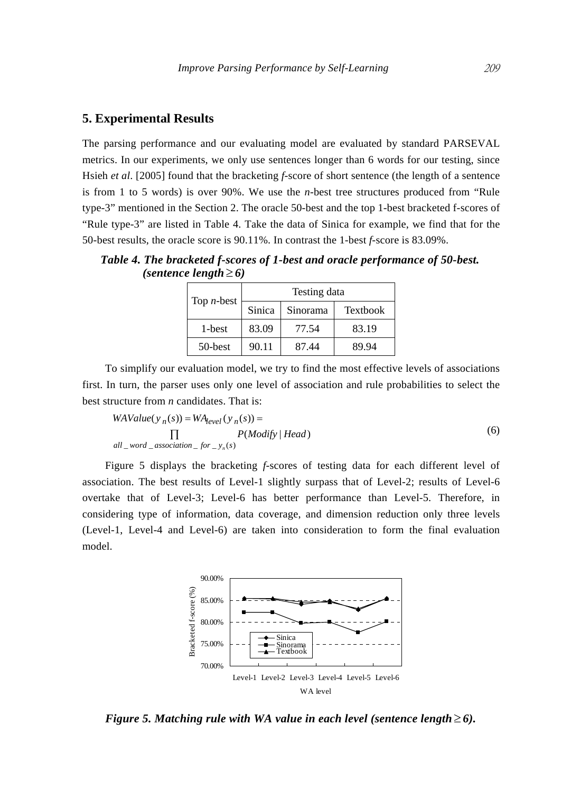# **5. Experimental Results**

The parsing performance and our evaluating model are evaluated by standard PARSEVAL metrics. In our experiments, we only use sentences longer than 6 words for our testing, since Hsieh *et al*. [2005] found that the bracketing *f*-score of short sentence (the length of a sentence is from 1 to 5 words) is over 90%. We use the *n*-best tree structures produced from "Rule type-3" mentioned in the Section 2. The oracle 50-best and the top 1-best bracketed f-scores of "Rule type-3" are listed in Table 4. Take the data of Sinica for example, we find that for the 50-best results, the oracle score is 90.11%. In contrast the 1-best *f*-score is 83.09%.

*Table 4. The bracketed f-scores of 1-best and oracle performance of 50-best. (sentence length*  $\geq 6$ )

| Top $n$ -best | Testing data |          |                 |  |
|---------------|--------------|----------|-----------------|--|
|               | Sinica       | Sinorama | <b>Textbook</b> |  |
| 1-best        | 83.09        | 77.54    | 83.19           |  |
| 50-best       | 90.11        | 87.44    | 89.94           |  |

To simplify our evaluation model, we try to find the most effective levels of associations first. In turn, the parser uses only one level of association and rule probabilities to select the best structure from *n* candidates. That is:

$$
WAValue(y_n(s)) = WA_{level}(y_n(s)) =
$$
  
\n
$$
\prod_{all\_word\_association\_for\_y_n(s)} P(Modify | Head)
$$
\n(6)

Figure 5 displays the bracketing *f*-scores of testing data for each different level of association. The best results of Level-1 slightly surpass that of Level-2; results of Level-6 overtake that of Level-3; Level-6 has better performance than Level-5. Therefore, in considering type of information, data coverage, and dimension reduction only three levels (Level-1, Level-4 and Level-6) are taken into consideration to form the final evaluation model.



*Figure 5. Matching rule with WA value in each level (sentence length*  $\geq 6$ ).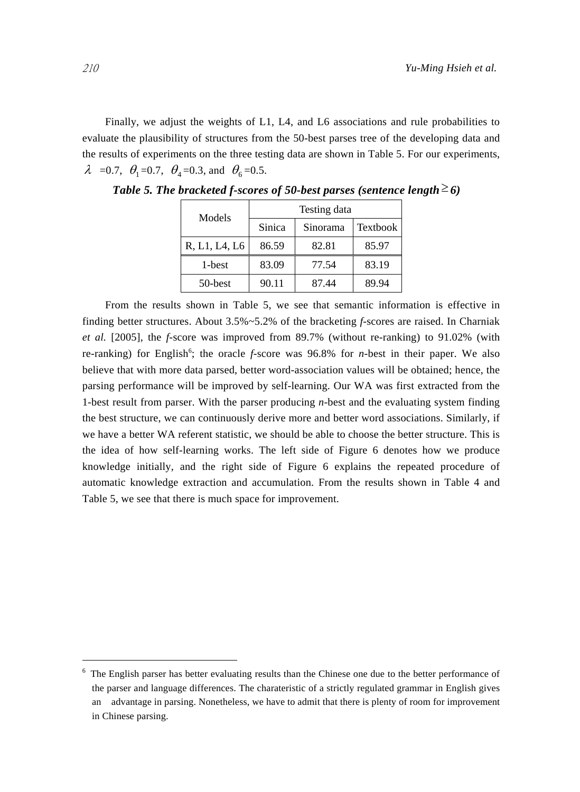Finally, we adjust the weights of L1, L4, and L6 associations and rule probabilities to evaluate the plausibility of structures from the 50-best parses tree of the developing data and the results of experiments on the three testing data are shown in Table 5. For our experiments,  $\lambda$  =0.7,  $\theta_1$ =0.7,  $\theta_4$ =0.3, and  $\theta_6$ =0.5.

| Models        | Testing data |          |          |
|---------------|--------------|----------|----------|
|               | Sinica       | Sinorama | Textbook |
| R, L1, L4, L6 | 86.59        | 82.81    | 85.97    |
| 1-best        | 83.09        | 77.54    | 83.19    |
| 50-best       | 90.11        | 87.44    | 89.94    |

*Table 5. The bracketed f-scores of 50-best parses (sentence length*  $\geq$  6)

From the results shown in Table 5, we see that semantic information is effective in finding better structures. About 3.5%~5.2% of the bracketing *f*-scores are raised. In Charniak *et al.* [2005], the *f*-score was improved from 89.7% (without re-ranking) to 91.02% (with re-ranking) for English<sup>6</sup>; the oracle  $f$ -score was 96.8% for *n*-best in their paper. We also believe that with more data parsed, better word-association values will be obtained; hence, the parsing performance will be improved by self-learning. Our WA was first extracted from the 1-best result from parser. With the parser producing *n*-best and the evaluating system finding the best structure, we can continuously derive more and better word associations. Similarly, if we have a better WA referent statistic, we should be able to choose the better structure. This is the idea of how self-learning works. The left side of Figure 6 denotes how we produce knowledge initially, and the right side of Figure 6 explains the repeated procedure of automatic knowledge extraction and accumulation. From the results shown in Table 4 and Table 5, we see that there is much space for improvement.

 $\overline{a}$ 

<sup>6</sup> The English parser has better evaluating results than the Chinese one due to the better performance of the parser and language differences. The charateristic of a strictly regulated grammar in English gives an advantage in parsing. Nonetheless, we have to admit that there is plenty of room for improvement in Chinese parsing.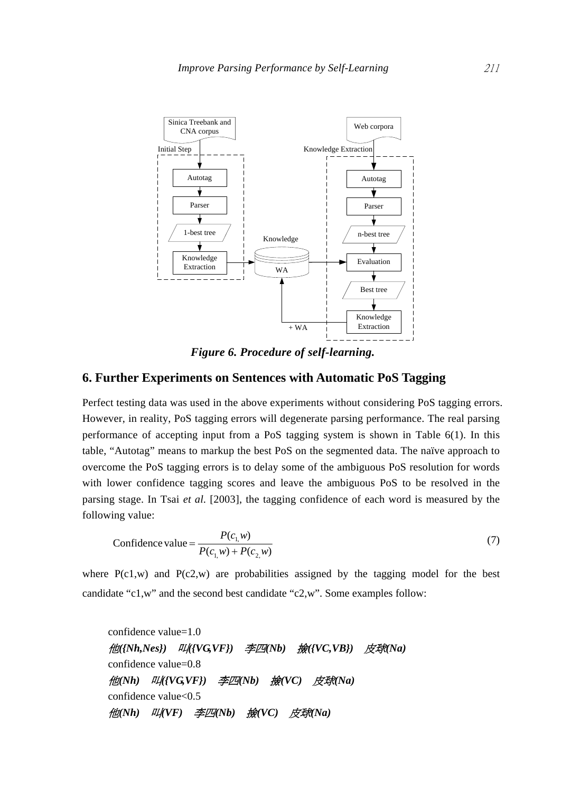

*Figure 6. Procedure of self-learning.* 

## **6. Further Experiments on Sentences with Automatic PoS Tagging**

Perfect testing data was used in the above experiments without considering PoS tagging errors. However, in reality, PoS tagging errors will degenerate parsing performance. The real parsing performance of accepting input from a PoS tagging system is shown in Table 6(1). In this table, "Autotag" means to markup the best PoS on the segmented data. The naïve approach to overcome the PoS tagging errors is to delay some of the ambiguous PoS resolution for words with lower confidence tagging scores and leave the ambiguous PoS to be resolved in the parsing stage. In Tsai *et al.* [2003], the tagging confidence of each word is measured by the following value:

Confidence value = 
$$
\frac{P(c_{1,}w)}{P(c_{1,}w) + P(c_{2,}w)}
$$
(7)

where  $P(c1,w)$  and  $P(c2,w)$  are probabilities assigned by the tagging model for the best candidate "c1,w" and the second best candidate "c2,w". Some examples follow:

confidence value=1.0 他*({Nh,Nes})* 叫*({VG,VF})* 李四*(Nb)* 撿*({VC,VB})* 皮球*(Na)*  confidence value=0.8 他*(Nh)* 叫*({VG,VF})* 李四*(Nb)* 撿*(VC)* 皮球*(Na)*  confidence value<0.5 他*(Nh)* 叫*(VF)* 李四*(Nb)* 撿*(VC)* 皮球*(Na)*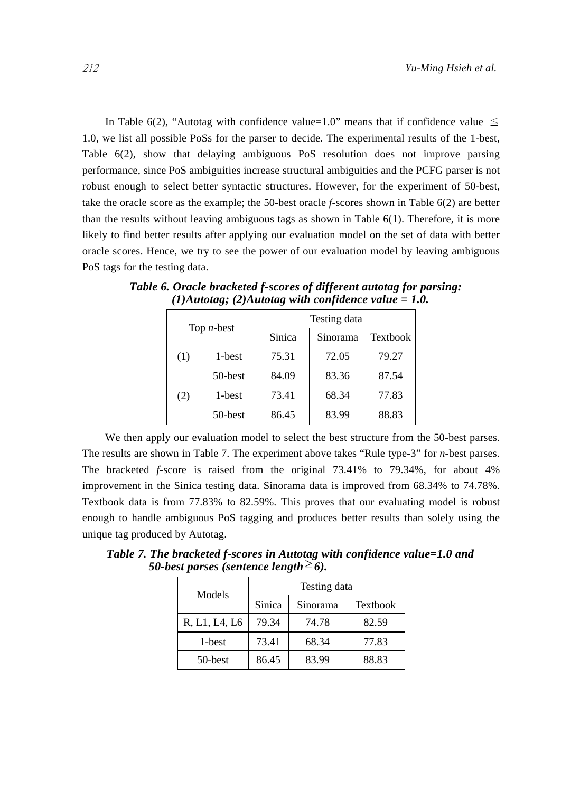In Table 6(2), "Autotag with confidence value=1.0" means that if confidence value  $\leq$ 1.0, we list all possible PoSs for the parser to decide. The experimental results of the 1-best, Table 6(2), show that delaying ambiguous PoS resolution does not improve parsing performance, since PoS ambiguities increase structural ambiguities and the PCFG parser is not robust enough to select better syntactic structures. However, for the experiment of 50-best, take the oracle score as the example; the 50-best oracle *f*-scores shown in Table 6(2) are better than the results without leaving ambiguous tags as shown in Table  $6(1)$ . Therefore, it is more likely to find better results after applying our evaluation model on the set of data with better oracle scores. Hence, we try to see the power of our evaluation model by leaving ambiguous PoS tags for the testing data.

| Top $n$ -best |         | Testing data |          |                 |
|---------------|---------|--------------|----------|-----------------|
|               |         | Sinica       | Sinorama | <b>Textbook</b> |
| (1)           | 1-best  | 75.31        | 72.05    | 79.27           |
|               | 50-best | 84.09        | 83.36    | 87.54           |
| (2)           | 1-best  | 73.41        | 68.34    | 77.83           |
|               | 50-best | 86.45        | 83.99    | 88.83           |

*Table 6. Oracle bracketed f-scores of different autotag for parsing: (1)Autotag; (2)Autotag with confidence value = 1.0.* 

We then apply our evaluation model to select the best structure from the 50-best parses. The results are shown in Table 7. The experiment above takes "Rule type-3" for *n*-best parses. The bracketed *f-*score is raised from the original 73.41% to 79.34%, for about 4% improvement in the Sinica testing data. Sinorama data is improved from 68.34% to 74.78%. Textbook data is from 77.83% to 82.59%. This proves that our evaluating model is robust enough to handle ambiguous PoS tagging and produces better results than solely using the unique tag produced by Autotag.

*50-best parses (sentence length*  $\geq 6$ ). Testing data Sinica Sinorama Textbook

*Table 7. The bracketed f-scores in Autotag with confidence value=1.0 and* 

| Models        | rosung uata |          |          |  |
|---------------|-------------|----------|----------|--|
|               | Sinica      | Sinorama | Textbook |  |
| R, L1, L4, L6 | 79.34       | 74.78    | 82.59    |  |
| 1-best        | 73.41       | 68.34    | 77.83    |  |
| 50-best       | 86.45       | 83.99    | 88.83    |  |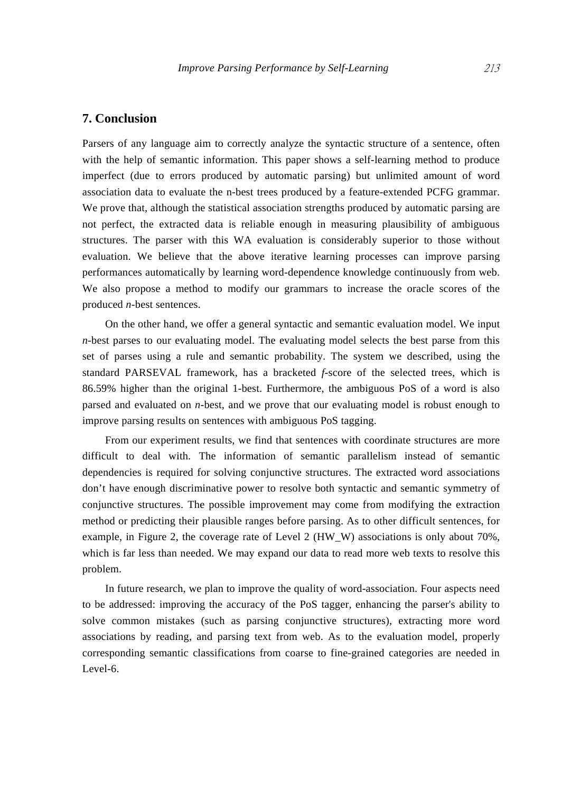## **7. Conclusion**

Parsers of any language aim to correctly analyze the syntactic structure of a sentence, often with the help of semantic information. This paper shows a self-learning method to produce imperfect (due to errors produced by automatic parsing) but unlimited amount of word association data to evaluate the n-best trees produced by a feature-extended PCFG grammar. We prove that, although the statistical association strengths produced by automatic parsing are not perfect, the extracted data is reliable enough in measuring plausibility of ambiguous structures. The parser with this WA evaluation is considerably superior to those without evaluation. We believe that the above iterative learning processes can improve parsing performances automatically by learning word-dependence knowledge continuously from web. We also propose a method to modify our grammars to increase the oracle scores of the produced *n*-best sentences.

On the other hand, we offer a general syntactic and semantic evaluation model. We input *n-*best parses to our evaluating model. The evaluating model selects the best parse from this set of parses using a rule and semantic probability. The system we described, using the standard PARSEVAL framework, has a bracketed *f*-score of the selected trees, which is 86.59% higher than the original 1-best. Furthermore, the ambiguous PoS of a word is also parsed and evaluated on *n*-best, and we prove that our evaluating model is robust enough to improve parsing results on sentences with ambiguous PoS tagging.

From our experiment results, we find that sentences with coordinate structures are more difficult to deal with. The information of semantic parallelism instead of semantic dependencies is required for solving conjunctive structures. The extracted word associations don't have enough discriminative power to resolve both syntactic and semantic symmetry of conjunctive structures. The possible improvement may come from modifying the extraction method or predicting their plausible ranges before parsing. As to other difficult sentences, for example, in Figure 2, the coverage rate of Level 2 (HW\_W) associations is only about 70%, which is far less than needed. We may expand our data to read more web texts to resolve this problem.

In future research, we plan to improve the quality of word-association. Four aspects need to be addressed: improving the accuracy of the PoS tagger, enhancing the parser's ability to solve common mistakes (such as parsing conjunctive structures), extracting more word associations by reading, and parsing text from web. As to the evaluation model, properly corresponding semantic classifications from coarse to fine-grained categories are needed in Level-6.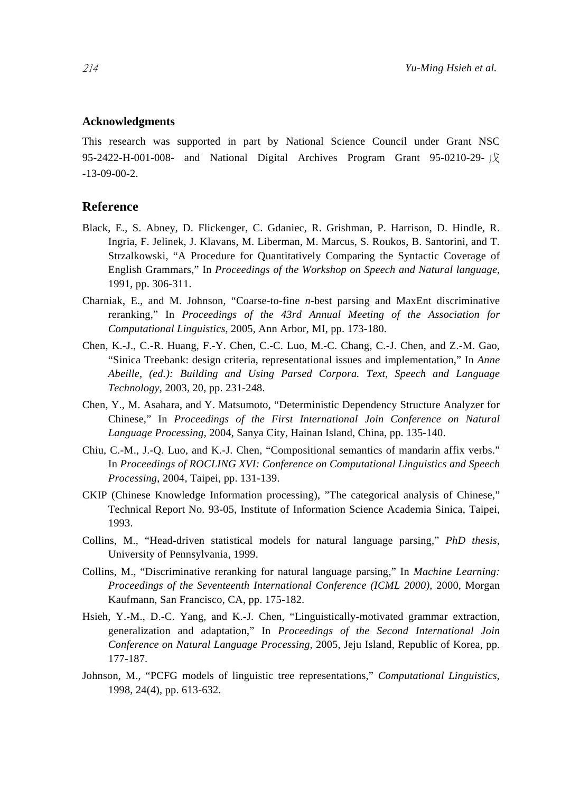## **Acknowledgments**

This research was supported in part by National Science Council under Grant NSC 95-2422-H-001-008- and National Digital Archives Program Grant 95-0210-29-  $\overrightarrow{\mathcal{K}}$ -13-09-00-2.

# **Reference**

- Black, E., S. Abney, D. Flickenger, C. Gdaniec, R. Grishman, P. Harrison, D. Hindle, R. Ingria, F. Jelinek, J. Klavans, M. Liberman, M. Marcus, S. Roukos, B. Santorini, and T. Strzalkowski, "A Procedure for Quantitatively Comparing the Syntactic Coverage of English Grammars," In *Proceedings of the Workshop on Speech and Natural language*, 1991, pp. 306-311.
- Charniak, E., and M. Johnson, "Coarse-to-fine *n-*best parsing and MaxEnt discriminative reranking," In *Proceedings of the 43rd Annual Meeting of the Association for Computational Linguistics*, 2005, Ann Arbor, MI, pp. 173-180.
- Chen, K.-J., C.-R. Huang, F.-Y. Chen, C.-C. Luo, M.-C. Chang, C.-J. Chen, and Z.-M. Gao, "Sinica Treebank: design criteria, representational issues and implementation," In *Anne Abeille, (ed.): Building and Using Parsed Corpora. Text, Speech and Language Technology*, 2003, 20, pp. 231-248.
- Chen, Y., M. Asahara, and Y. Matsumoto, "Deterministic Dependency Structure Analyzer for Chinese," In *Proceedings of the First International Join Conference on Natural Language Processing*, 2004, Sanya City, Hainan Island, China, pp. 135-140.
- Chiu, C.-M., J.-Q. Luo, and K.-J. Chen, "Compositional semantics of mandarin affix verbs." In *Proceedings of ROCLING XVI: Conference on Computational Linguistics and Speech Processing*, 2004, Taipei, pp. 131-139.
- CKIP (Chinese Knowledge Information processing), "The categorical analysis of Chinese," Technical Report No. 93-05, Institute of Information Science Academia Sinica, Taipei, 1993.
- Collins, M., "Head-driven statistical models for natural language parsing," *PhD thesis*, University of Pennsylvania, 1999.
- Collins, M., "Discriminative reranking for natural language parsing," In *Machine Learning: Proceedings of the Seventeenth International Conference (ICML 2000)*, 2000, Morgan Kaufmann, San Francisco, CA, pp. 175-182.
- Hsieh, Y.-M., D.-C. Yang, and K.-J. Chen, "Linguistically-motivated grammar extraction, generalization and adaptation," In *Proceedings of the Second International Join Conference on Natural Language Processing*, 2005, Jeju Island, Republic of Korea, pp. 177-187.
- Johnson, M., "PCFG models of linguistic tree representations," *Computational Linguistics*, 1998, 24(4), pp. 613-632.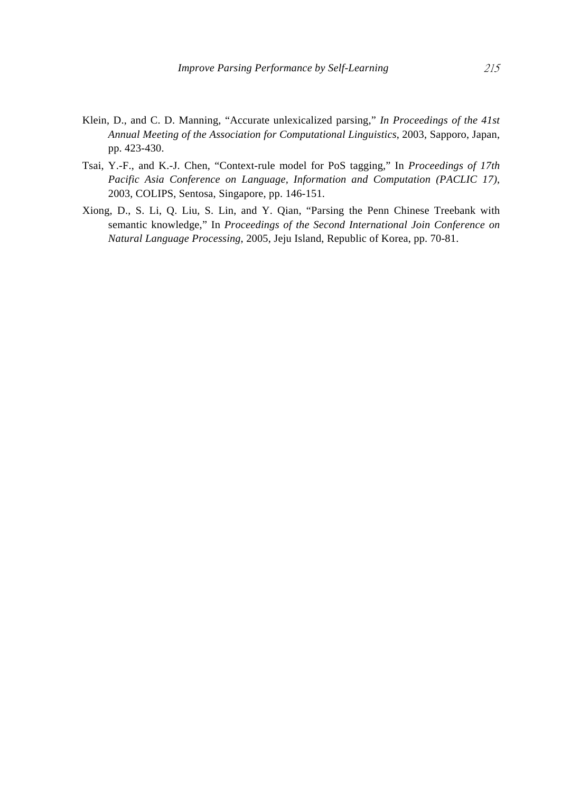- Klein, D., and C. D. Manning, "Accurate unlexicalized parsing," *In Proceedings of the 41st Annual Meeting of the Association for Computational Linguistics*, 2003, Sapporo, Japan, pp. 423-430.
- Tsai, Y.-F., and K.-J. Chen, "Context-rule model for PoS tagging," In *Proceedings of 17th Pacific Asia Conference on Language, Information and Computation (PACLIC 17)*, 2003, COLIPS, Sentosa, Singapore, pp. 146-151.
- Xiong, D., S. Li, Q. Liu, S. Lin, and Y. Qian, "Parsing the Penn Chinese Treebank with semantic knowledge," In *Proceedings of the Second International Join Conference on Natural Language Processing*, 2005, Jeju Island, Republic of Korea, pp. 70-81.